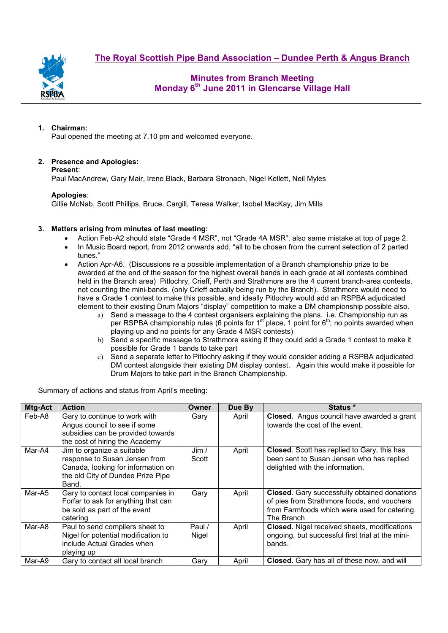**The Royal Scottish Pipe Band Association – Dundee Perth & Angus Branch**



## **Minutes from Branch Meeting Monday 6th June 2011 in Glencarse Village Hall**

### **1. Chairman:**

Paul opened the meeting at 7.10 pm and welcomed everyone.

### **2. Presence and Apologies:**

**Present**:

Paul MacAndrew, Gary Mair, Irene Black, Barbara Stronach, Nigel Kellett, Neil Myles

### **Apologies**:

Gillie McNab, Scott Phillips, Bruce, Cargill, Teresa Walker, Isobel MacKay, Jim Mills

### **3. Matters arising from minutes of last meeting:**

- Action Feb-A2 should state "Grade 4 MSR", not "Grade 4A MSR", also same mistake at top of page 2.
- In Music Board report, from 2012 onwards add, "all to be chosen from the current selection of 2 parted tunes."
- Action Apr-A6. (Discussions re a possible implementation of a Branch championship prize to be awarded at the end of the season for the highest overall bands in each grade at all contests combined held in the Branch area) Pitlochry, Crieff, Perth and Strathmore are the 4 current branch-area contests, not counting the mini-bands. (only Crieff actually being run by the Branch). Strathmore would need to have a Grade 1 contest to make this possible, and ideally Pitlochry would add an RSPBA adjudicated element to their existing Drum Majors "display" competition to make a DM championship possible also.
	- a) Send a message to the 4 contest organisers explaining the plans. i.e. Championship run as per RSPBA championship rules (6 points for  $1<sup>st</sup>$  place, 1 point for  $6<sup>th</sup>$ ; no points awarded when playing up and no points for any Grade 4 MSR contests)
	- b) Send a specific message to Strathmore asking if they could add a Grade 1 contest to make it possible for Grade 1 bands to take part
	- c) Send a separate letter to Pitlochry asking if they would consider adding a RSPBA adjudicated DM contest alongside their existing DM display contest. Again this would make it possible for Drum Majors to take part in the Branch Championship.

Summary of actions and status from April's meeting:

| Mtg-Act | <b>Action</b>                                                                                                                                   | Owner                             | Due By | Status *                                                                                                                                                  |
|---------|-------------------------------------------------------------------------------------------------------------------------------------------------|-----------------------------------|--------|-----------------------------------------------------------------------------------------------------------------------------------------------------------|
| Feb-A8  | Gary to continue to work with<br>Angus council to see if some<br>subsidies can be provided towards                                              | Gary                              | April  | Closed. Angus council have awarded a grant<br>towards the cost of the event.                                                                              |
|         | the cost of hiring the Academy                                                                                                                  |                                   |        |                                                                                                                                                           |
| Mar-A4  | Jim to organize a suitable<br>response to Susan Jensen from<br>Canada, looking for information on<br>the old City of Dundee Prize Pipe<br>Band. | $\mathsf{Jim}\mathsf{/}$<br>Scott | April  | Closed. Scott has replied to Gary, this has<br>been sent to Susan Jensen who has replied<br>delighted with the information.                               |
| Mar-A5  | Gary to contact local companies in<br>Forfar to ask for anything that can<br>be sold as part of the event<br>catering                           | Gary                              | April  | Closed. Gary successfully obtained donations<br>of pies from Strathmore foods, and vouchers<br>from Farmfoods which were used for catering.<br>The Branch |
| Mar-A8  | Paul to send compilers sheet to<br>Nigel for potential modification to<br>include Actual Grades when<br>playing up                              | Paul /<br>Nigel                   | April  | <b>Closed.</b> Nigel received sheets, modifications<br>ongoing, but successful first trial at the mini-<br>bands.                                         |
| Mar-A9  | Gary to contact all local branch                                                                                                                | Gary                              | April  | Closed. Gary has all of these now, and will                                                                                                               |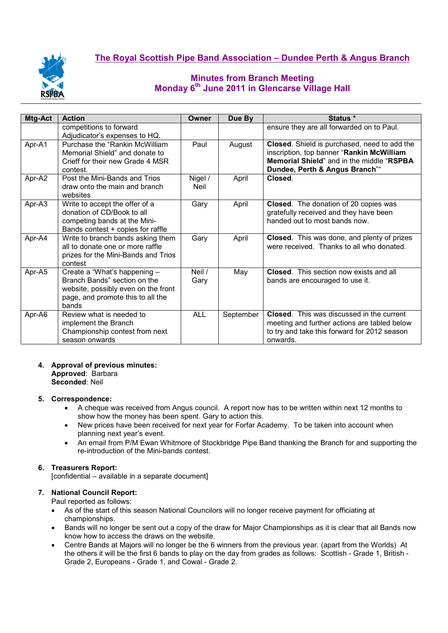

# **The Royal Scottish Pipe Band Association – Dundee Perth & Angus Branch**

# **Minutes from Branch Meeting Monday 6th June 2011 in Glencarse Village Hall**

| Mtg-Act | <b>Action</b>                                                                                                                                     | Owner           | Due By    | Status *                                                                                                                                                                          |
|---------|---------------------------------------------------------------------------------------------------------------------------------------------------|-----------------|-----------|-----------------------------------------------------------------------------------------------------------------------------------------------------------------------------------|
|         | competitions to forward<br>Adjudicator's expenses to HQ.                                                                                          |                 |           | ensure they are all forwarded on to Paul.                                                                                                                                         |
| Apr-A1  | Purchase the "Rankin McWilliam<br>Memorial Shield" and donate to<br>Crieff for their new Grade 4 MSR<br>contest.                                  | Paul            | August    | Closed. Shield is purchased, need to add the<br>inscription, top banner "Rankin McWilliam<br><b>Memorial Shield</b> " and in the middle "RSPBA"<br>Dundee, Perth & Angus Branch"" |
| Apr-A2  | Post the Mini-Bands and Trios<br>draw onto the main and branch<br>websites                                                                        | Nigel /<br>Neil | April     | Closed.                                                                                                                                                                           |
| Apr-A3  | Write to accept the offer of a<br>donation of CD/Book to all<br>competing bands at the Mini-<br>Bands contest + copies for raffle                 | Gary            | April     | Closed. The donation of 20 copies was<br>gratefully received and they have been<br>handed out to most bands now.                                                                  |
| Apr-A4  | Write to branch bands asking them<br>all to donate one or more raffle<br>prizes for the Mini-Bands and Trios<br>contest                           | Gary            | April     | Closed. This was done, and plenty of prizes<br>were received. Thanks to all who donated.                                                                                          |
| Apr-A5  | Create a "What's happening -<br>Branch Bands" section on the<br>website, possibly even on the front<br>page, and promote this to all the<br>bands | Neil /<br>Gary  | May       | <b>Closed.</b> This section now exists and all<br>bands are encouraged to use it.                                                                                                 |
| Apr-A6  | Review what is needed to<br>implement the Branch<br>Championship contest from next<br>season onwards                                              | <b>ALL</b>      | September | <b>Closed.</b> This was discussed in the current<br>meeting and further actions are tabled below<br>to try and take this forward for 2012 season<br>onwards.                      |

### **4. Approval of previous minutes: Approved**: Barbara

**Seconded**: Neil

### **5. Correspondence:**

- A cheque was received from Angus council. A report now has to be written within next 12 months to show how the money has been spent. Gary to action this.
- New prices have been received for next year for Forfar Academy. To be taken into account when planning next year's event.
- An email from P/M Ewan Whitmore of Stockbridge Pipe Band thanking the Branch for and supporting the re-introduction of the Mini-bands contest.

### **6. Treasurers Report:**

[confidential – available in a separate document]

### **7. National Council Report:**

Paul reported as follows:

- As of the start of this season National Councilors will no longer receive payment for officiating at championships.
- Bands will no longer be sent out a copy of the draw for Major Championships as it is clear that all Bands now know how to access the draws on the website.
- Centre Bands at Majors will no longer be the 6 winners from the previous year. (apart from the Worlds) At the others it will be the first 6 bands to play on the day from grades as follows: Scottish - Grade 1, British - Grade 2, Europeans - Grade 1, and Cowal - Grade 2.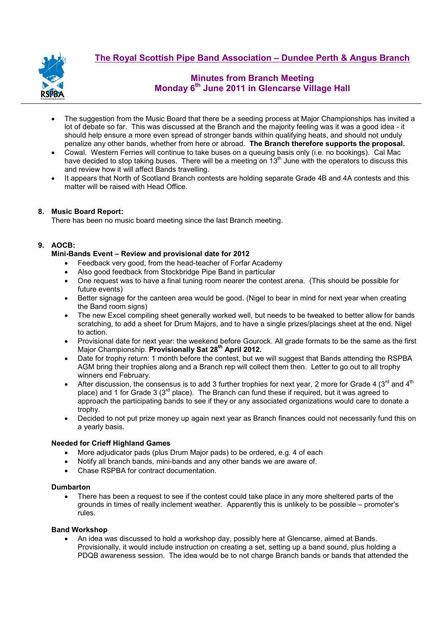

# **The Royal Scottish Pipe Band Association – Dundee Perth & Angus Branch**

# **Minutes from Branch Meeting Monday 6th June 2011 in Glencarse Village Hall**

- The suggestion from the Music Board that there be a seeding process at Major Championships has invited a lot of debate so far. This was discussed at the Branch and the majority feeling was it was a good idea - it should help ensure a more even spread of stronger bands within qualifying heats, and should not unduly penalize any other bands, whether from here or abroad. **The Branch therefore supports the proposal.**
- Cowal. Western Ferries will continue to take buses on a queuing basis only (i.e. no bookings). Cal Mac have decided to stop taking buses. There will be a meeting on 13<sup>th</sup> June with the operators to discuss this and review how it will affect Bands travelling.
- It appears that North of Scotland Branch contests are holding separate Grade 4B and 4A contests and this matter will be raised with Head Office.

### **8. Music Board Report:**

There has been no music board meeting since the last Branch meeting.

### **9. AOCB:**

### **Mini-Bands Event – Review and provisional date for 2012**

- Feedback very good, from the head-teacher of Forfar Academy
- Also good feedback from Stockbridge Pipe Band in particular
- One request was to have a final tuning room nearer the contest arena. (This should be possible for future events)
- Better signage for the canteen area would be good. (Nigel to bear in mind for next year when creating the Band room signs)
- The new Excel compiling sheet generally worked well, but needs to be tweaked to better allow for bands scratching, to add a sheet for Drum Majors, and to have a single prizes/placings sheet at the end. Nigel to action.
- Provisional date for next year: the weekend before Gourock. All grade formats to be the same as the first Major Championship. **Provisionally Sat 28th April 2012.**
- Date for trophy return: 1 month before the contest, but we will suggest that Bands attending the RSPBA AGM bring their trophies along and a Branch rep will collect them then. Letter to go out to all trophy winners end February.
- After discussion, the consensus is to add 3 further trophies for next vear, 2 more for Grade 4 ( $3^{\text{rd}}$  and  $4^{\text{th}}$ ) place) and 1 for Grade 3 ( $3<sup>rd</sup>$  place). The Branch can fund these if required, but it was agreed to approach the participating bands to see if they or any associated organizations would care to donate a trophy.
- Decided to not put prize money up again next year as Branch finances could not necessarily fund this on a yearly basis.

#### **Needed for Crieff Highland Games**

- More adjudicator pads (plus Drum Major pads) to be ordered, e.g. 4 of each
- Notify all branch bands, mini-bands and any other bands we are aware of.
- Chase RSPBA for contract documentation.

#### **Dumbarton**

There has been a request to see if the contest could take place in any more sheltered parts of the grounds in times of really inclement weather. Apparently this is unlikely to be possible – promoter's rules.

### **Band Workshop**

• An idea was discussed to hold a workshop day, possibly here at Glencarse, aimed at Bands. Provisionally, it would include instruction on creating a set, setting up a band sound, plus holding a PDQB awareness session. The idea would be to not charge Branch bands or bands that attended the